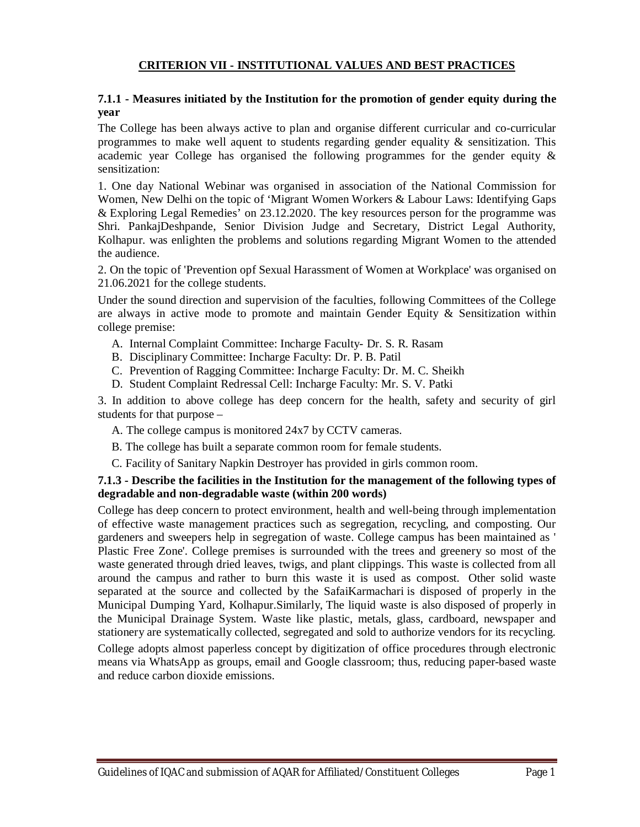#### **CRITERION VII - INSTITUTIONAL VALUES AND BEST PRACTICES**

#### **7.1.1 - Measures initiated by the Institution for the promotion of gender equity during the year**

The College has been always active to plan and organise different curricular and co-curricular programmes to make well aquent to students regarding gender equality  $\&$  sensitization. This academic year College has organised the following programmes for the gender equity & sensitization:

1. One day National Webinar was organised in association of the National Commission for Women, New Delhi on the topic of 'Migrant Women Workers & Labour Laws: Identifying Gaps & Exploring Legal Remedies' on 23.12.2020. The key resources person for the programme was Shri. PankajDeshpande, Senior Division Judge and Secretary, District Legal Authority, Kolhapur. was enlighten the problems and solutions regarding Migrant Women to the attended the audience.

2. On the topic of 'Prevention opf Sexual Harassment of Women at Workplace' was organised on 21.06.2021 for the college students.

Under the sound direction and supervision of the faculties, following Committees of the College are always in active mode to promote and maintain Gender Equity & Sensitization within college premise:

- A. Internal Complaint Committee: Incharge Faculty- Dr. S. R. Rasam
- B. Disciplinary Committee: Incharge Faculty: Dr. P. B. Patil
- C. Prevention of Ragging Committee: Incharge Faculty: Dr. M. C. Sheikh
- D. Student Complaint Redressal Cell: Incharge Faculty: Mr. S. V. Patki

3. In addition to above college has deep concern for the health, safety and security of girl students for that purpose –

- A. The college campus is monitored 24x7 by CCTV cameras.
- B. The college has built a separate common room for female students.
- C. Facility of Sanitary Napkin Destroyer has provided in girls common room.

#### **7.1.3 - Describe the facilities in the Institution for the management of the following types of degradable and non-degradable waste (within 200 words)**

College has deep concern to protect environment, health and well-being through implementation of effective waste management practices such as segregation, recycling, and composting. Our gardeners and sweepers help in segregation of waste. College campus has been maintained as ' Plastic Free Zone'. College premises is surrounded with the trees and greenery so most of the waste generated through dried leaves, twigs, and plant clippings. This waste is collected from all around the campus and rather to burn this waste it is used as compost. Other solid waste separated at the source and collected by the SafaiKarmachari is disposed of properly in the Municipal Dumping Yard, Kolhapur.Similarly, The liquid waste is also disposed of properly in the Municipal Drainage System. Waste like plastic, metals, glass, cardboard, newspaper and stationery are systematically collected, segregated and sold to authorize vendors for its recycling.

College adopts almost paperless concept by digitization of office procedures through electronic means via WhatsApp as groups, email and Google classroom; thus, reducing paper-based waste and reduce carbon dioxide emissions.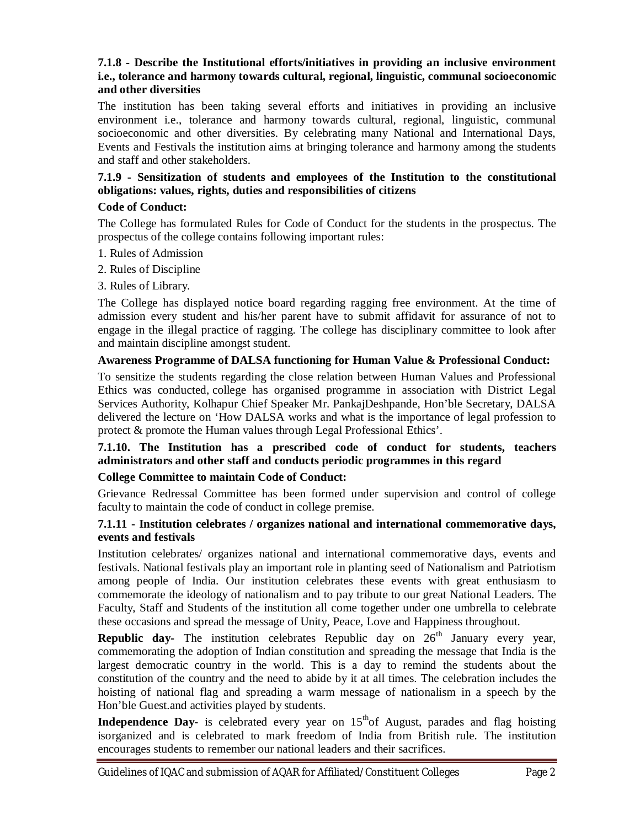## **7.1.8 - Describe the Institutional efforts/initiatives in providing an inclusive environment i.e., tolerance and harmony towards cultural, regional, linguistic, communal socioeconomic and other diversities**

The institution has been taking several efforts and initiatives in providing an inclusive environment i.e., tolerance and harmony towards cultural, regional, linguistic, communal socioeconomic and other diversities. By celebrating many National and International Days, Events and Festivals the institution aims at bringing tolerance and harmony among the students and staff and other stakeholders.

## **7.1.9 - Sensitization of students and employees of the Institution to the constitutional obligations: values, rights, duties and responsibilities of citizens**

#### **Code of Conduct:**

The College has formulated Rules for Code of Conduct for the students in the prospectus. The prospectus of the college contains following important rules:

- 1. Rules of Admission
- 2. Rules of Discipline
- 3. Rules of Library.

The College has displayed notice board regarding ragging free environment. At the time of admission every student and his/her parent have to submit affidavit for assurance of not to engage in the illegal practice of ragging. The college has disciplinary committee to look after and maintain discipline amongst student.

#### **Awareness Programme of DALSA functioning for Human Value & Professional Conduct:**

To sensitize the students regarding the close relation between Human Values and Professional Ethics was conducted, college has organised programme in association with District Legal Services Authority, Kolhapur Chief Speaker Mr. PankajDeshpande, Hon'ble Secretary, DALSA delivered the lecture on 'How DALSA works and what is the importance of legal profession to protect & promote the Human values through Legal Professional Ethics'.

## **7.1.10. The Institution has a prescribed code of conduct for students, teachers administrators and other staff and conducts periodic programmes in this regard**

#### **College Committee to maintain Code of Conduct:**

Grievance Redressal Committee has been formed under supervision and control of college faculty to maintain the code of conduct in college premise.

#### **7.1.11 - Institution celebrates / organizes national and international commemorative days, events and festivals**

Institution celebrates/ organizes national and international commemorative days, events and festivals. National festivals play an important role in planting seed of Nationalism and Patriotism among people of India. Our institution celebrates these events with great enthusiasm to commemorate the ideology of nationalism and to pay tribute to our great National Leaders. The Faculty, Staff and Students of the institution all come together under one umbrella to celebrate these occasions and spread the message of Unity, Peace, Love and Happiness throughout.

**Republic day-** The institution celebrates Republic day on 26<sup>th</sup> January every year, commemorating the adoption of Indian constitution and spreading the message that India is the largest democratic country in the world. This is a day to remind the students about the constitution of the country and the need to abide by it at all times. The celebration includes the hoisting of national flag and spreading a warm message of nationalism in a speech by the Hon'ble Guest.and activities played by students.

**Independence Day-** is celebrated every year on 15<sup>th</sup>of August, parades and flag hoisting isorganized and is celebrated to mark freedom of India from British rule. The institution encourages students to remember our national leaders and their sacrifices.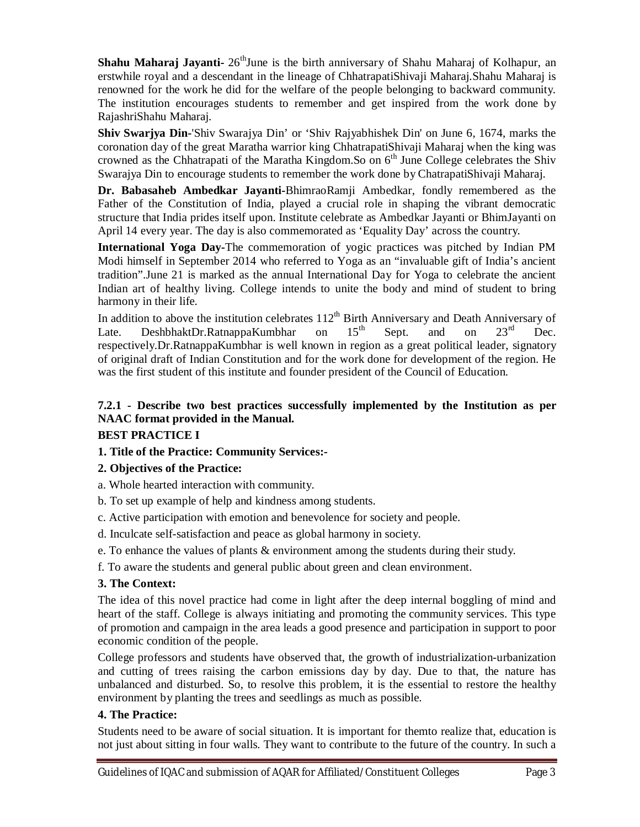**Shahu Maharaj Jayanti-** 26<sup>th</sup>June is the birth anniversary of Shahu Maharaj of Kolhapur, an erstwhile royal and a descendant in the lineage of ChhatrapatiShivaji Maharaj.Shahu Maharaj is renowned for the work he did for the welfare of the people belonging to backward community. The institution encourages students to remember and get inspired from the work done by RajashriShahu Maharaj.

**Shiv Swarjya Din-**'Shiv Swarajya Din' or 'Shiv Rajyabhishek Din' on June 6, 1674, marks the coronation day of the great Maratha warrior king ChhatrapatiShivaji Maharaj when the king was crowned as the Chhatrapati of the Maratha Kingdom.So on 6<sup>th</sup> June College celebrates the Shiv Swarajya Din to encourage students to remember the work done by ChatrapatiShivaji Maharaj.

**Dr. Babasaheb Ambedkar Jayanti-**BhimraoRamji Ambedkar, fondly remembered as the Father of the Constitution of India, played a crucial role in shaping the vibrant democratic structure that India prides itself upon. Institute celebrate as Ambedkar Jayanti or BhimJayanti on April 14 every year. The day is also commemorated as 'Equality Day' across the country.

**International Yoga Day-**The commemoration of yogic practices was pitched by Indian PM Modi himself in September 2014 who referred to Yoga as an "invaluable gift of India's ancient tradition".June 21 is marked as the annual International Day for Yoga to celebrate the ancient Indian art of healthy living. College intends to unite the body and mind of student to bring harmony in their life.

In addition to above the institution celebrates  $112^{th}$  Birth Anniversary and Death Anniversary of Late. DeshbhaktDr. Ratnappa Kumbhar on  $15^{th}$  Sept. and on  $23^{rd}$  Dec. Late. DeshbhaktDr.RatnappaKumbhar on  $15<sup>th</sup>$  Sept. and on  $23<sup>rd</sup>$  Dec. respectively.Dr.RatnappaKumbhar is well known in region as a great political leader, signatory of original draft of Indian Constitution and for the work done for development of the region. He was the first student of this institute and founder president of the Council of Education.

# **7.2.1 - Describe two best practices successfully implemented by the Institution as per NAAC format provided in the Manual.**

## **BEST PRACTICE I**

## **1. Title of the Practice: Community Services:-**

## **2. Objectives of the Practice:**

- a. Whole hearted interaction with community.
- b. To set up example of help and kindness among students.
- c. Active participation with emotion and benevolence for society and people.
- d. Inculcate self-satisfaction and peace as global harmony in society.
- e. To enhance the values of plants & environment among the students during their study.
- f. To aware the students and general public about green and clean environment.

## **3. The Context:**

The idea of this novel practice had come in light after the deep internal boggling of mind and heart of the staff. College is always initiating and promoting the community services. This type of promotion and campaign in the area leads a good presence and participation in support to poor economic condition of the people.

College professors and students have observed that, the growth of industrialization-urbanization and cutting of trees raising the carbon emissions day by day. Due to that, the nature has unbalanced and disturbed. So, to resolve this problem, it is the essential to restore the healthy environment by planting the trees and seedlings as much as possible.

## **4. The Practice:**

Students need to be aware of social situation. It is important for themto realize that, education is not just about sitting in four walls. They want to contribute to the future of the country. In such a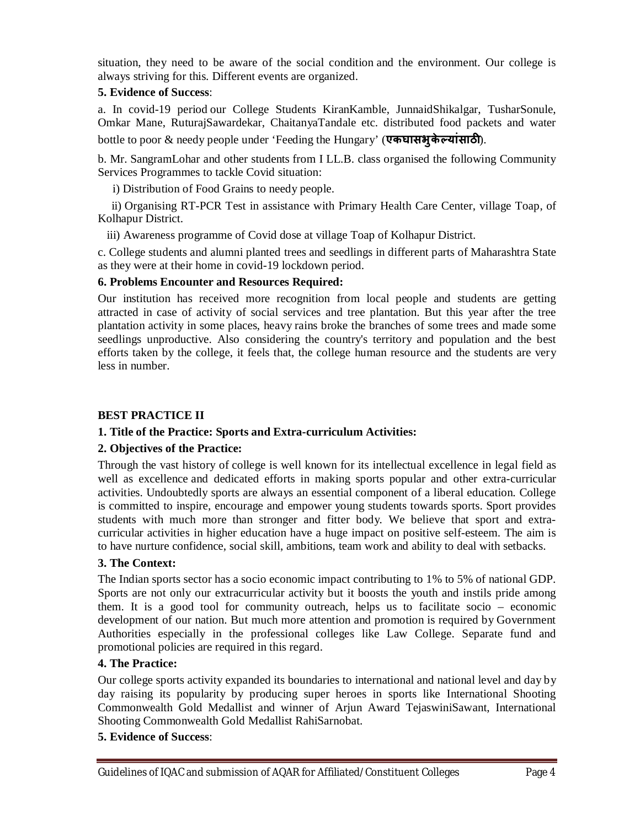situation, they need to be aware of the social condition and the environment. Our college is always striving for this. Different events are organized.

## **5. Evidence of Success**:

a. In covid-19 period our College Students KiranKamble, JunnaidShikalgar, TusharSonule, Omkar Mane, RuturajSawardekar, ChaitanyaTandale etc. distributed food packets and water bottle to poor & needy people under 'Feeding the Hungary' (एकघासभुकेल्यांसाठी).

b. Mr. SangramLohar and other students from I LL.B. class organised the following Community Services Programmes to tackle Covid situation:

i) Distribution of Food Grains to needy people.

ii) Organising RT-PCR Test in assistance with Primary Health Care Center, village Toap, of Kolhapur District.

iii) Awareness programme of Covid dose at village Toap of Kolhapur District.

c. College students and alumni planted trees and seedlings in different parts of Maharashtra State as they were at their home in covid-19 lockdown period.

## **6. Problems Encounter and Resources Required:**

Our institution has received more recognition from local people and students are getting attracted in case of activity of social services and tree plantation. But this year after the tree plantation activity in some places, heavy rains broke the branches of some trees and made some seedlings unproductive. Also considering the country's territory and population and the best efforts taken by the college, it feels that, the college human resource and the students are very less in number.

# **BEST PRACTICE II**

# **1. Title of the Practice: Sports and Extra-curriculum Activities:**

## **2. Objectives of the Practice:**

Through the vast history of college is well known for its intellectual excellence in legal field as well as excellence and dedicated efforts in making sports popular and other extra-curricular activities. Undoubtedly sports are always an essential component of a liberal education. College is committed to inspire, encourage and empower young students towards sports. Sport provides students with much more than stronger and fitter body. We believe that sport and extracurricular activities in higher education have a huge impact on positive self-esteem. The aim is to have nurture confidence, social skill, ambitions, team work and ability to deal with setbacks.

## **3. The Context:**

The Indian sports sector has a socio economic impact contributing to 1% to 5% of national GDP. Sports are not only our extracurricular activity but it boosts the youth and instils pride among them. It is a good tool for community outreach, helps us to facilitate socio – economic development of our nation. But much more attention and promotion is required by Government Authorities especially in the professional colleges like Law College. Separate fund and promotional policies are required in this regard.

## **4. The Practice:**

Our college sports activity expanded its boundaries to international and national level and day by day raising its popularity by producing super heroes in sports like International Shooting Commonwealth Gold Medallist and winner of Arjun Award TejaswiniSawant, International Shooting Commonwealth Gold Medallist RahiSarnobat.

## **5. Evidence of Success**: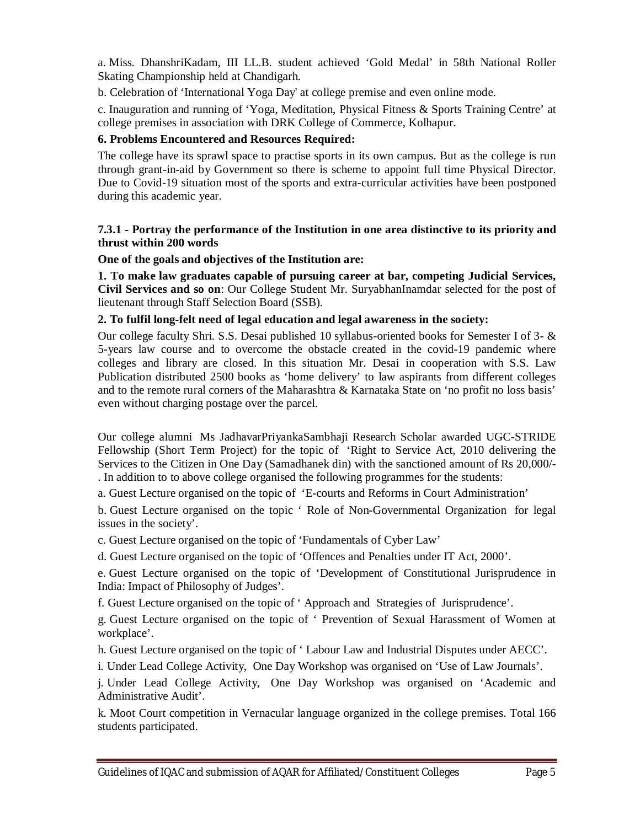a. Miss. DhanshriKadam, III LL.B. student achieved 'Gold Medal' in 58th National Roller Skating Championship held at Chandigarh.

b. Celebration of 'International Yoga Day' at college premise and even online mode.

c. Inauguration and running of 'Yoga, Meditation, Physical Fitness & Sports Training Centre' at college premises in association with DRK College of Commerce, Kolhapur.

## **6. Problems Encountered and Resources Required:**

The college have its sprawl space to practise sports in its own campus. But as the college is run through grant-in-aid by Government so there is scheme to appoint full time Physical Director. Due to Covid-19 situation most of the sports and extra-curricular activities have been postponed during this academic year.

#### **7.3.1 - Portray the performance of the Institution in one area distinctive to its priority and thrust within 200 words**

**One of the goals and objectives of the Institution are:** 

**1. To make law graduates capable of pursuing career at bar, competing Judicial Services, Civil Services and so on**: Our College Student Mr. SuryabhanInamdar selected for the post of lieutenant through Staff Selection Board (SSB).

## **2. To fulfil long-felt need of legal education and legal awareness in the society:**

Our college faculty Shri. S.S. Desai published 10 syllabus-oriented books for Semester I of 3- & 5-years law course and to overcome the obstacle created in the covid-19 pandemic where colleges and library are closed. In this situation Mr. Desai in cooperation with S.S. Law Publication distributed 2500 books as 'home delivery' to law aspirants from different colleges and to the remote rural corners of the Maharashtra & Karnataka State on 'no profit no loss basis' even without charging postage over the parcel.

Our college alumni Ms JadhavarPriyankaSambhaji Research Scholar awarded UGC-STRIDE Fellowship (Short Term Project) for the topic of 'Right to Service Act, 2010 delivering the Services to the Citizen in One Day (Samadhanek din) with the sanctioned amount of Rs 20,000/- . In addition to to above college organised the following programmes for the students:

a. Guest Lecture organised on the topic of 'E-courts and Reforms in Court Administration'

b. Guest Lecture organised on the topic ' Role of Non-Governmental Organization for legal issues in the society'.

c. Guest Lecture organised on the topic of 'Fundamentals of Cyber Law'

d. Guest Lecture organised on the topic of 'Offences and Penalties under IT Act, 2000'.

e. Guest Lecture organised on the topic of 'Development of Constitutional Jurisprudence in India: Impact of Philosophy of Judges'.

f. Guest Lecture organised on the topic of ' Approach and Strategies of Jurisprudence'.

g. Guest Lecture organised on the topic of ' Prevention of Sexual Harassment of Women at workplace'.

h. Guest Lecture organised on the topic of ' Labour Law and Industrial Disputes under AECC'.

i. Under Lead College Activity, One Day Workshop was organised on 'Use of Law Journals'.

j. Under Lead College Activity, One Day Workshop was organised on 'Academic and Administrative Audit'.

k. Moot Court competition in Vernacular language organized in the college premises. Total 166 students participated.